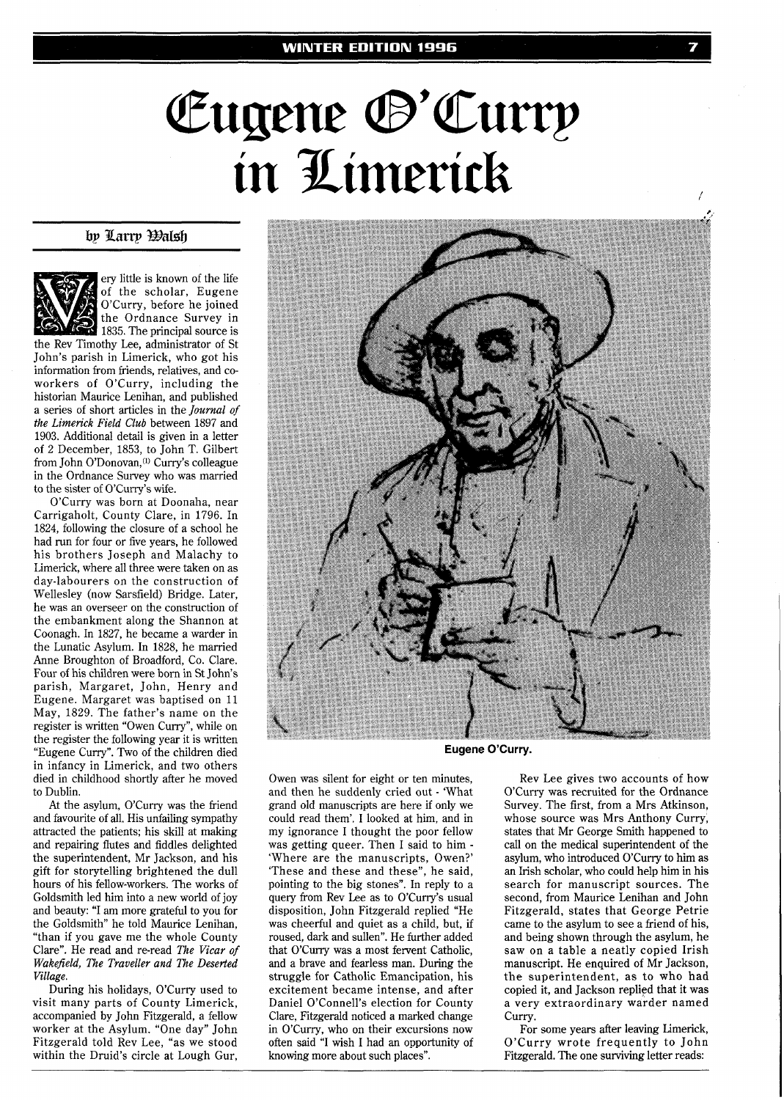## Eugene ®'Curry in Limerick

## by Larry *Dalsh*



ery little is known of the life of the scholar, Eugene O'Curry, before he joined the Ordnance Survey in 1835. The principal source is

the Rev Timothy Lee, administrator of St John's parish in Limerick, who got his information from friends, relatives, and coworkers of O'Curry, including the historian Maurice Lenihan, and published a series of short articles in the *Journal of the Limerick Field Club* between 1897 and 1903. Additional detail is given in a letter of 2 December, 1853, to John T. Gilbert from John O'Donovan,<sup>(1)</sup> Curry's colleague in the Ordnance Survey who was married to the sister of O'Curry's wife.

O'Curry was born at Doonaha, near Carrigaholt, County Clare, in 1796. In 1824, following the closure of a school he had run for four or five years, he followed his brothers Joseph and Malachy to Limerick, where all three were taken on as day-labourers on the construction of Wellesley (now Sarsfield) Bridge. Later, he was an overseer on the construction of the embankment along the Shannon at Coonagh. In 1827, he became a warder in the Lunatic Asylum. In 1828, he married Anne Broughton of Broadford, Co. Clare. Four of his children were born in St John's parish, Margaret, John, Henry and Eugene. Margaret was baptised on 11 May, 1829. The father's name on the register is written "Owen Curry", while on the register the following year it is written "Eugene Curry". Two of the children died in infancy in Limerick, and two others died in childhood shortly after he moved to Dublin.

At the asylum, O'Curry was the friend and favourite of all. His unfailing sympathy attracted the patients; his skill at making and repairing flutes and fiddles delighted the superintendent, Mr Jackson, and his gift for storytelling brightened the dull hours of his fellow-workers. The works of Goldsmith led him into a new world of joy and beauty: "I am more grateful to you for the Goldsmith" he told Maurice Lenihan, "than if you gave me the whole County Clare". He read and re-read *The Vicar* of *Wakefield, The Traveller and The Deserted Village.* 

During his holidays, O'Curry used to visit many parts of County Limerick, accompanied by John Fitzgerald, a fellow worker at the Asylum. "One day" John Fitzgerald told Rev Lee, "as we stood within the Druid's circle at Lough Gur,



**Eugene O'Curry.** 

Owen was silent for eight or ten minutes, and then he suddenly cried out - 'What grand old manuscripts are here if only we could read them'. I looked at him, and in my ignorance I thought the poor fellow was getting queer. Then I said to him - 'Where are the manuscripts, Owen?' 'These and these and these", he said, pointing to the big stones". In reply to a query from Rev Lee as to O'Curry's usual disposition, John Fitzgerald replied "He was cheerful and quiet as a child, but, if roused, dark and sullen". He further added that O'Curry was a most fervent Catholic, and a brave and fearless man. During the struggle for Catholic Emancipation, his excitement became intense, and after Daniel O'Connell's election for County Clare, Fitzgerald noticed a marked change in O'Curry, who on their excursions now often said "I wish I had an opportunity of knowing more about such places".

Rev Lee gives two accounts of how O'Curry was recruited for the Ordnance Survey. The first, from a Mrs Atkinson, whose source was Mrs Anthony Curry, states that Mr George Smith happened to call on the medical superintendent of the asylum, who introduced O'Curry to him as an Irish scholar, who could help him in his search for manuscript sources. The second, from Maurice Lenihan and John Fitzgerald, states that George Petrie came to the asylum to see a friend of his, and being shown through the asylum, he saw on a table a neatly copied Irish manuscript. He enquired of Mr Jackson, the superintendent, as to who had copied it, and Jackson replied that it was a very extraordinary warder named Curry.

For some years after leaving Limerick, O'Curry wrote frequently to John Fitzgerald. The one surviving letter reads: